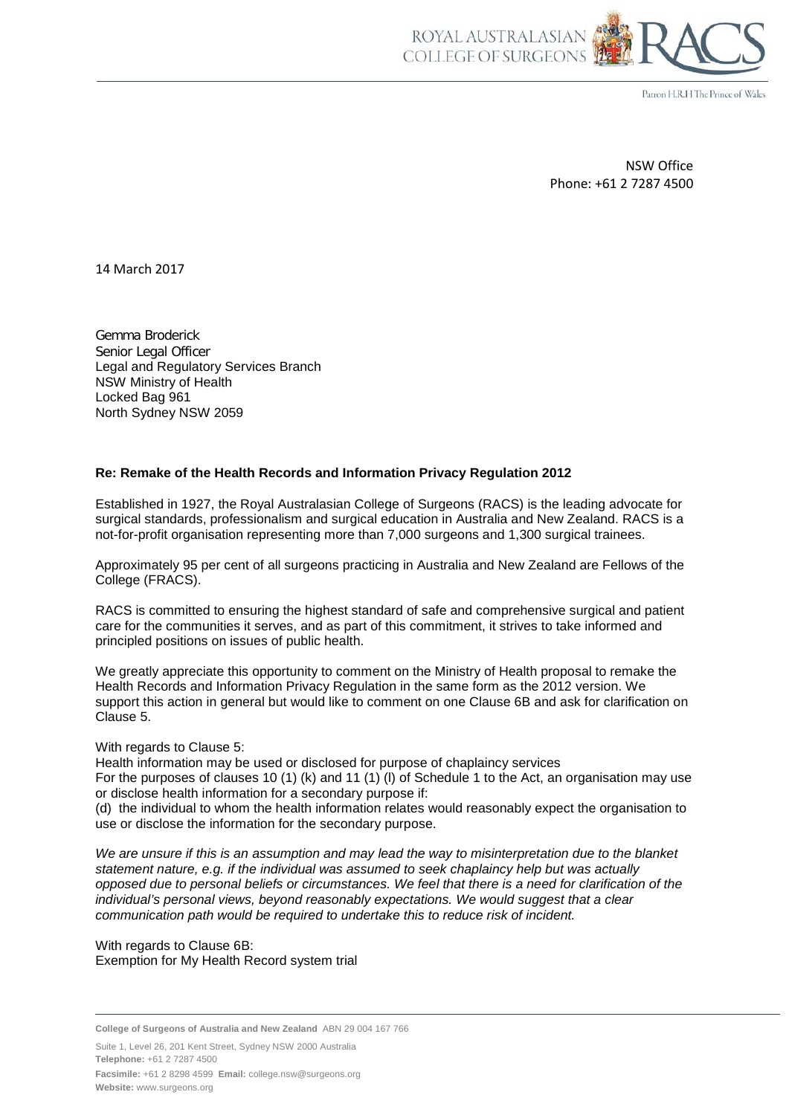

Patron H.R.H The Prince of Wales

NSW Office Phone: +61 2 7287 4500

14 March 2017

Gemma Broderick Senior Legal Officer Legal and Regulatory Services Branch NSW Ministry of Health Locked Bag 961 North Sydney NSW 2059

## **Re: Remake of the Health Records and Information Privacy Regulation 2012**

Established in 1927, the Royal Australasian College of Surgeons (RACS) is the leading advocate for surgical standards, professionalism and surgical education in Australia and New Zealand. RACS is a not-for-profit organisation representing more than 7,000 surgeons and 1,300 surgical trainees.

Approximately 95 per cent of all surgeons practicing in Australia and New Zealand are Fellows of the College (FRACS).

RACS is committed to ensuring the highest standard of safe and comprehensive surgical and patient care for the communities it serves, and as part of this commitment, it strives to take informed and principled positions on issues of public health.

We greatly appreciate this opportunity to comment on the Ministry of Health proposal to remake the Health Records and Information Privacy Regulation in the same form as the 2012 version. We support this action in general but would like to comment on one Clause 6B and ask for clarification on Clause 5.

## With regards to Clause 5:

Health information may be used or disclosed for purpose of chaplaincy services For the purposes of clauses 10 (1) (k) and 11 (1) (l) of Schedule 1 to the Act, an organisation may use or disclose health information for a secondary purpose if:

(d) the individual to whom the health information relates would reasonably expect the organisation to use or disclose the information for the secondary purpose.

*We are unsure if this is an assumption and may lead the way to misinterpretation due to the blanket statement nature, e.g. if the individual was assumed to seek chaplaincy help but was actually opposed due to personal beliefs or circumstances. We feel that there is a need for clarification of the individual's personal views, beyond reasonably expectations. We would suggest that a clear communication path would be required to undertake this to reduce risk of incident.*

With regards to Clause 6B: Exemption for My Health Record system trial

**College of Surgeons of Australia and New Zealand** ABN 29 004 167 766

Suite 1, Level 26, 201 Kent Street, Sydney NSW 2000 Australia **Telephone:** +61 2 7287 4500 **Facsimile:** +61 2 8298 4599 **Email:** college.nsw@surgeons.org **Website:** www.surgeons.org